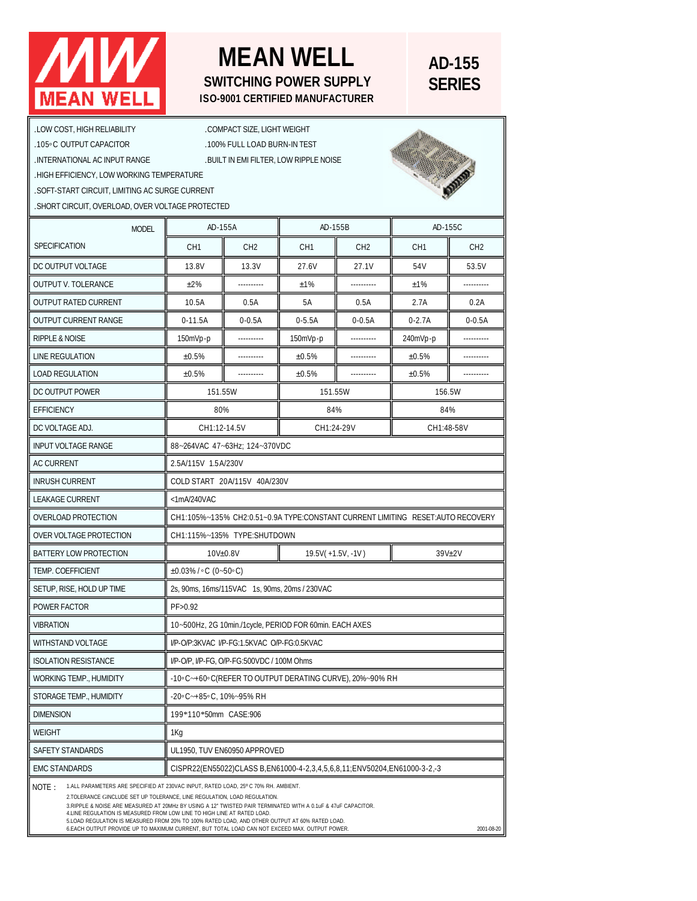## **MEAN WELL**

## **MEAN WELL SWITCHING POWER SUPPLY ISO-9001 CERTIFIED MANUFACTURER**

## **AD-155 SERIES**

| .LOW COST, HIGH RELIABILITY<br>.105°C OUTPUT CAPACITOR<br>. INTERNATIONAL AC INPUT RANGE<br>.HIGH EFFICIENCY, LOW WORKING TEMPERATURE<br>.SOFT-START CIRCUIT, LIMITING AC SURGE CURRENT<br>. SHORT CIRCUIT, OVERLOAD, OVER VOLTAGE PROTECTED                                                                                                                                                                                                                                                                                                                                       |                                                                                | .COMPACT SIZE, LIGHT WEIGHT<br>.100% FULL LOAD BURN-IN TEST | . BUILT IN EMI FILTER, LOW RIPPLE NOISE |                 |                 |                 |
|------------------------------------------------------------------------------------------------------------------------------------------------------------------------------------------------------------------------------------------------------------------------------------------------------------------------------------------------------------------------------------------------------------------------------------------------------------------------------------------------------------------------------------------------------------------------------------|--------------------------------------------------------------------------------|-------------------------------------------------------------|-----------------------------------------|-----------------|-----------------|-----------------|
| <b>MODEL</b><br>SPECIFICATION                                                                                                                                                                                                                                                                                                                                                                                                                                                                                                                                                      | AD-155A                                                                        |                                                             | AD-155B                                 |                 | AD-155C         |                 |
|                                                                                                                                                                                                                                                                                                                                                                                                                                                                                                                                                                                    | CH <sub>1</sub>                                                                | CH <sub>2</sub>                                             | CH <sub>1</sub>                         | CH <sub>2</sub> | CH <sub>1</sub> | CH <sub>2</sub> |
| DC OUTPUT VOLTAGE                                                                                                                                                                                                                                                                                                                                                                                                                                                                                                                                                                  | 13.8V                                                                          | 13.3V                                                       | 27.6V                                   | 27.1V           | 54V             | 53.5V           |
| <b>OUTPUT V. TOLERANCE</b>                                                                                                                                                                                                                                                                                                                                                                                                                                                                                                                                                         | $±2\%$                                                                         |                                                             | ±1%                                     |                 | ±1%             |                 |
| <b>OUTPUT RATED CURRENT</b>                                                                                                                                                                                                                                                                                                                                                                                                                                                                                                                                                        | 10.5A                                                                          | 0.5A                                                        | 5A                                      | 0.5A            | 2.7A            | 0.2A            |
| <b>OUTPUT CURRENT RANGE</b>                                                                                                                                                                                                                                                                                                                                                                                                                                                                                                                                                        | $0-11.5A$                                                                      | $0 - 0.5A$                                                  | $0 - 5.5A$                              | $0 - 0.5A$      | $0 - 2.7A$      | $0 - 0.5A$      |
| <b>RIPPLE &amp; NOISE</b>                                                                                                                                                                                                                                                                                                                                                                                                                                                                                                                                                          | $150mVp-p$                                                                     |                                                             | $150mVp-p$                              |                 | 240mVp-p        |                 |
| LINE REGULATION                                                                                                                                                                                                                                                                                                                                                                                                                                                                                                                                                                    | ±0.5%                                                                          |                                                             | ±0.5%                                   |                 | ±0.5%           |                 |
| <b>LOAD REGULATION</b>                                                                                                                                                                                                                                                                                                                                                                                                                                                                                                                                                             | ±0.5%                                                                          |                                                             | ±0.5%                                   |                 | ±0.5%           |                 |
| DC OUTPUT POWER                                                                                                                                                                                                                                                                                                                                                                                                                                                                                                                                                                    | 151.55W                                                                        |                                                             | 151.55W                                 |                 | 156.5W          |                 |
| <b>EFFICIENCY</b>                                                                                                                                                                                                                                                                                                                                                                                                                                                                                                                                                                  | 80%                                                                            |                                                             | 84%                                     |                 | 84%             |                 |
| DC VOLTAGE ADJ.                                                                                                                                                                                                                                                                                                                                                                                                                                                                                                                                                                    | CH1:12-14.5V                                                                   |                                                             | CH1:24-29V                              |                 | CH1:48-58V      |                 |
| <b>INPUT VOLTAGE RANGE</b>                                                                                                                                                                                                                                                                                                                                                                                                                                                                                                                                                         | 88~264VAC 47~63Hz; 124~370VDC                                                  |                                                             |                                         |                 |                 |                 |
| AC CURRENT                                                                                                                                                                                                                                                                                                                                                                                                                                                                                                                                                                         | 2.5A/115V 1.5A/230V                                                            |                                                             |                                         |                 |                 |                 |
| <b>INRUSH CURRENT</b>                                                                                                                                                                                                                                                                                                                                                                                                                                                                                                                                                              | COLD START 20A/115V 40A/230V                                                   |                                                             |                                         |                 |                 |                 |
| <b>LEAKAGE CURRENT</b>                                                                                                                                                                                                                                                                                                                                                                                                                                                                                                                                                             | <1mA/240VAC                                                                    |                                                             |                                         |                 |                 |                 |
| OVERLOAD PROTECTION                                                                                                                                                                                                                                                                                                                                                                                                                                                                                                                                                                | CH1:105%~135% CH2:0.51~0.9A TYPE:CONSTANT CURRENT LIMITING RESET:AUTO RECOVERY |                                                             |                                         |                 |                 |                 |
| OVER VOLTAGE PROTECTION                                                                                                                                                                                                                                                                                                                                                                                                                                                                                                                                                            | CH1:115%~135% TYPE:SHUTDOWN                                                    |                                                             |                                         |                 |                 |                 |
| BATTERY LOW PROTECTION                                                                                                                                                                                                                                                                                                                                                                                                                                                                                                                                                             | $10V\pm0.8V$                                                                   |                                                             | $19.5V(+1.5V,-1V)$                      |                 | 39V±2V          |                 |
| TEMP. COEFFICIENT                                                                                                                                                                                                                                                                                                                                                                                                                                                                                                                                                                  | ±0.03%/∘C (0~50∘C)                                                             |                                                             |                                         |                 |                 |                 |
| SETUP, RISE, HOLD UP TIME                                                                                                                                                                                                                                                                                                                                                                                                                                                                                                                                                          | 2s, 90ms, 16ms/115VAC 1s, 90ms, 20ms / 230VAC                                  |                                                             |                                         |                 |                 |                 |
| POWER FACTOR                                                                                                                                                                                                                                                                                                                                                                                                                                                                                                                                                                       | PF > 0.92                                                                      |                                                             |                                         |                 |                 |                 |
| <b>VIBRATION</b>                                                                                                                                                                                                                                                                                                                                                                                                                                                                                                                                                                   | 10~500Hz, 2G 10min./1cycle, PERIOD FOR 60min. EACH AXES                        |                                                             |                                         |                 |                 |                 |
| <b>WITHSTAND VOLTAGE</b>                                                                                                                                                                                                                                                                                                                                                                                                                                                                                                                                                           | I/P-O/P:3KVAC_I/P-FG:1.5KVAC_O/P-FG:0.5KVAC                                    |                                                             |                                         |                 |                 |                 |
| <b>ISOLATION RESISTANCE</b>                                                                                                                                                                                                                                                                                                                                                                                                                                                                                                                                                        | I/P-O/P, I/P-FG, O/P-FG:500VDC / 100M Ohms                                     |                                                             |                                         |                 |                 |                 |
| WORKING TEMP., HUMIDITY                                                                                                                                                                                                                                                                                                                                                                                                                                                                                                                                                            | -10° C~+60° C(REFER TO OUTPUT DERATING CURVE), 20%~90% RH                      |                                                             |                                         |                 |                 |                 |
| STORAGE TEMP., HUMIDITY                                                                                                                                                                                                                                                                                                                                                                                                                                                                                                                                                            | -20∘C~+85∘C, 10%~95% RH                                                        |                                                             |                                         |                 |                 |                 |
| <b>DIMENSION</b>                                                                                                                                                                                                                                                                                                                                                                                                                                                                                                                                                                   | 199*110*50mm CASE:906                                                          |                                                             |                                         |                 |                 |                 |
| <b>WEIGHT</b>                                                                                                                                                                                                                                                                                                                                                                                                                                                                                                                                                                      | 1Kg                                                                            |                                                             |                                         |                 |                 |                 |
| SAFETY STANDARDS                                                                                                                                                                                                                                                                                                                                                                                                                                                                                                                                                                   | UL1950. TUV EN60950 APPROVED                                                   |                                                             |                                         |                 |                 |                 |
| <b>EMC STANDARDS</b>                                                                                                                                                                                                                                                                                                                                                                                                                                                                                                                                                               | CISPR22(EN55022)CLASS B,EN61000-4-2,3,4,5,6,8,11;ENV50204,EN61000-3-2,-3       |                                                             |                                         |                 |                 |                 |
| 1.ALL PARAMETERS ARE SPECIFIED AT 230VAC INPUT, RATED LOAD, 25°C 70% RH. AMBIENT.<br>NOTE:<br>2.TOLERANCE GINCLUDE SET UP TOLERANCE, LINE REGULATION, LOAD REGULATION.<br>3.RIPPLE & NOISE ARE MEASURED AT 20MHz BY USING A 12" TWISTED PAIR TERMINATED WITH A 0.1uF & 47uF CAPACITOR.<br>4.LINE REGULATION IS MEASURED FROM LOW LINE TO HIGH LINE AT RATED LOAD.<br>5.LOAD REGULATION IS MEASURED FROM 20% TO 100% RATED LOAD, AND OTHER OUTPUT AT 60% RATED LOAD.<br>6.EACH OUTPUT PROVIDE UP TO MAXIMUM CURRENT, BUT TOTAL LOAD CAN NOT EXCEED MAX. OUTPUT POWER.<br>2001-08-20 |                                                                                |                                                             |                                         |                 |                 |                 |